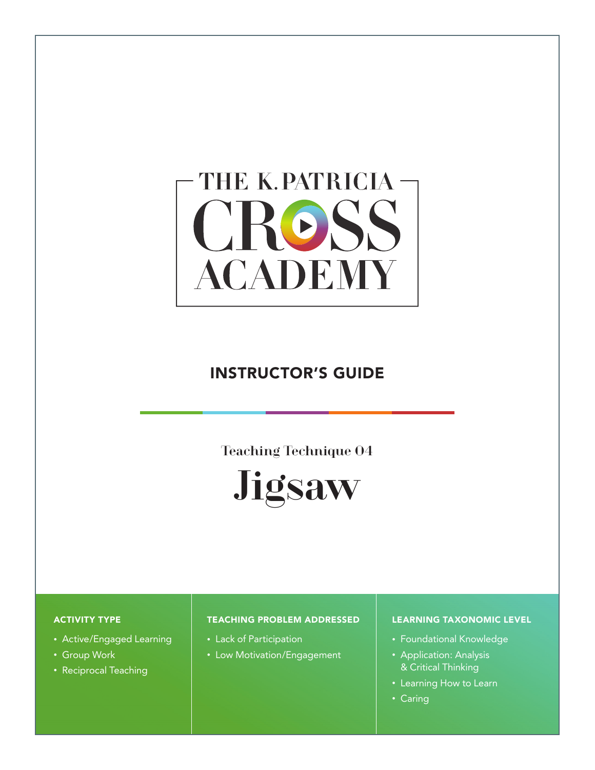# THE K. PATRICIA -CROSS **ACADEMY**

# INSTRUCTOR'S GUIDE

Teaching Technique 04



#### ACTIVITY TYPE

- Active/Engaged Learning
- Group Work
- Reciprocal Teaching

#### TEACHING PROBLEM ADDRESSED

- Lack of Participation
- Low Motivation/Engagement

#### LEARNING TAXONOMIC LEVEL

- Foundational Knowledge
- Application: Analysis & Critical Thinking
- Learning How to Learn
- Caring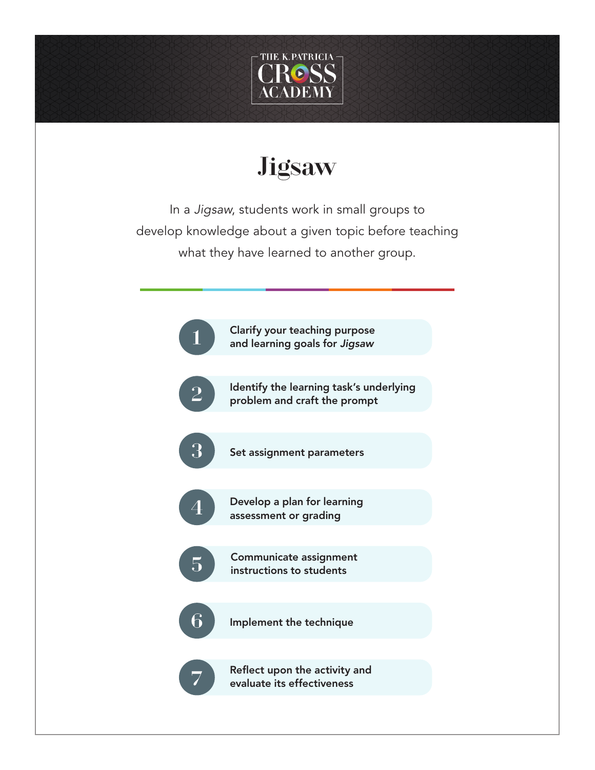

# **Jigsaw**

In a *Jigsaw*, students work in small groups to develop knowledge about a given topic before teaching what they have learned to another group.

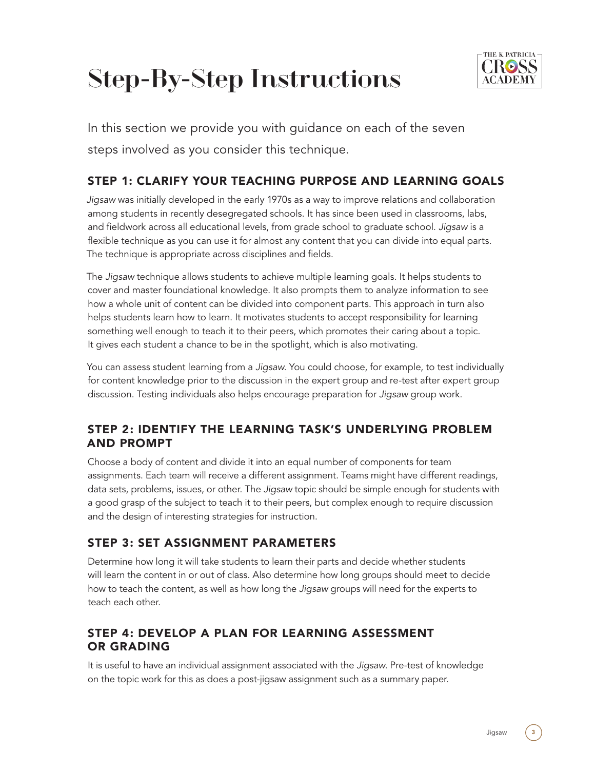# Step-By-Step Instructions



In this section we provide you with guidance on each of the seven steps involved as you consider this technique.

# STEP 1: CLARIFY YOUR TEACHING PURPOSE AND LEARNING GOALS

*Jigsaw* was initially developed in the early 1970s as a way to improve relations and collaboration among students in recently desegregated schools. It has since been used in classrooms, labs, and fieldwork across all educational levels, from grade school to graduate school. *Jigsaw* is a flexible technique as you can use it for almost any content that you can divide into equal parts. The technique is appropriate across disciplines and fields.

The *Jigsaw* technique allows students to achieve multiple learning goals. It helps students to cover and master foundational knowledge. It also prompts them to analyze information to see how a whole unit of content can be divided into component parts. This approach in turn also helps students learn how to learn. It motivates students to accept responsibility for learning something well enough to teach it to their peers, which promotes their caring about a topic. It gives each student a chance to be in the spotlight, which is also motivating.

You can assess student learning from a *Jigsaw*. You could choose, for example, to test individually for content knowledge prior to the discussion in the expert group and re-test after expert group discussion. Testing individuals also helps encourage preparation for *Jigsaw* group work.

#### STEP 2: IDENTIFY THE LEARNING TASK'S UNDERLYING PROBLEM AND PROMPT

Choose a body of content and divide it into an equal number of components for team assignments. Each team will receive a different assignment. Teams might have different readings, data sets, problems, issues, or other. The *Jigsaw* topic should be simple enough for students with a good grasp of the subject to teach it to their peers, but complex enough to require discussion and the design of interesting strategies for instruction.

# STEP 3: SET ASSIGNMENT PARAMETERS

Determine how long it will take students to learn their parts and decide whether students will learn the content in or out of class. Also determine how long groups should meet to decide how to teach the content, as well as how long the *Jigsaw* groups will need for the experts to teach each other.

# STEP 4: DEVELOP A PLAN FOR LEARNING ASSESSMENT OR GRADING

It is useful to have an individual assignment associated with the *Jigsaw*. Pre-test of knowledge on the topic work for this as does a post-jigsaw assignment such as a summary paper.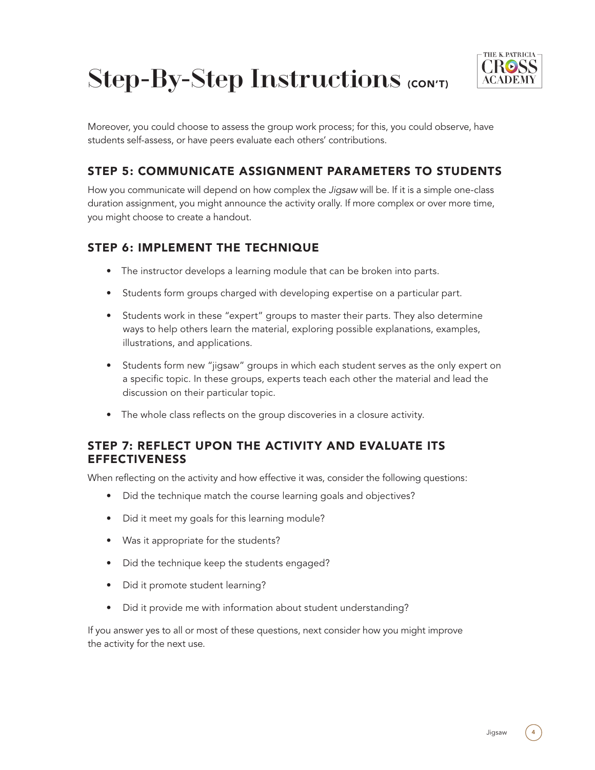



Moreover, you could choose to assess the group work process; for this, you could observe, have students self-assess, or have peers evaluate each others' contributions.

# STEP 5: COMMUNICATE ASSIGNMENT PARAMETERS TO STUDENTS

How you communicate will depend on how complex the *Jigsaw* will be. If it is a simple one-class duration assignment, you might announce the activity orally. If more complex or over more time, you might choose to create a handout.

### STEP 6: IMPLEMENT THE TECHNIQUE

- The instructor develops a learning module that can be broken into parts.
- Students form groups charged with developing expertise on a particular part.
- Students work in these "expert" groups to master their parts. They also determine ways to help others learn the material, exploring possible explanations, examples, illustrations, and applications.
- Students form new "jigsaw" groups in which each student serves as the only expert on a specific topic. In these groups, experts teach each other the material and lead the discussion on their particular topic.
- The whole class reflects on the group discoveries in a closure activity.

#### STEP 7: REFLECT UPON THE ACTIVITY AND EVALUATE ITS **EFFECTIVENESS**

When reflecting on the activity and how effective it was, consider the following questions:

- Did the technique match the course learning goals and objectives?
- Did it meet my goals for this learning module?
- Was it appropriate for the students?
- Did the technique keep the students engaged?
- Did it promote student learning?
- Did it provide me with information about student understanding?

If you answer yes to all or most of these questions, next consider how you might improve the activity for the next use.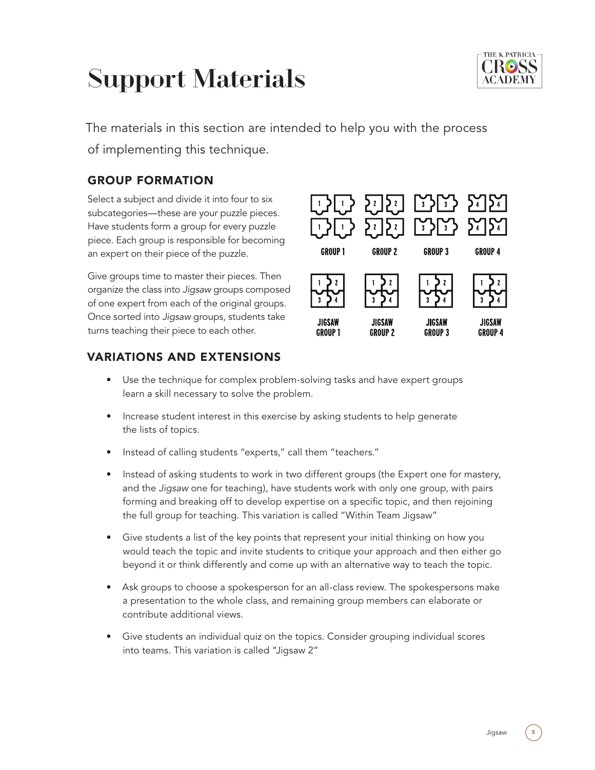# Support Materials



The materials in this section are intended to help you with the process of implementing this technique.

# GROUP FORMATION

Select a subject and divide it into four to six subcategories—these are your puzzle pieces. Have students form a group for every puzzle piece. Each group is responsible for becoming an expert on their piece of the puzzle.

Give groups time to master their pieces. Then organize the class into *Jigsaw* groups composed of one expert from each of the original groups. Once sorted into *Jigsaw* groups, students take turns teaching their piece to each other.



# VARIATIONS AND EXTENSIONS

- Use the technique for complex problem-solving tasks and have expert groups learn a skill necessary to solve the problem.
- Increase student interest in this exercise by asking students to help generate the lists of topics.
- Instead of calling students "experts," call them "teachers."
- Instead of asking students to work in two different groups (the Expert one for mastery, and the *Jigsaw* one for teaching), have students work with only one group, with pairs forming and breaking off to develop expertise on a specific topic, and then rejoining the full group for teaching. This variation is called "Within Team Jigsaw"
- Give students a list of the key points that represent your initial thinking on how you would teach the topic and invite students to critique your approach and then either go beyond it or think differently and come up with an alternative way to teach the topic.
- Ask groups to choose a spokesperson for an all-class review. The spokespersons make a presentation to the whole class, and remaining group members can elaborate or contribute additional views.
- Give students an individual quiz on the topics. Consider grouping individual scores into teams. This variation is called "Jigsaw 2"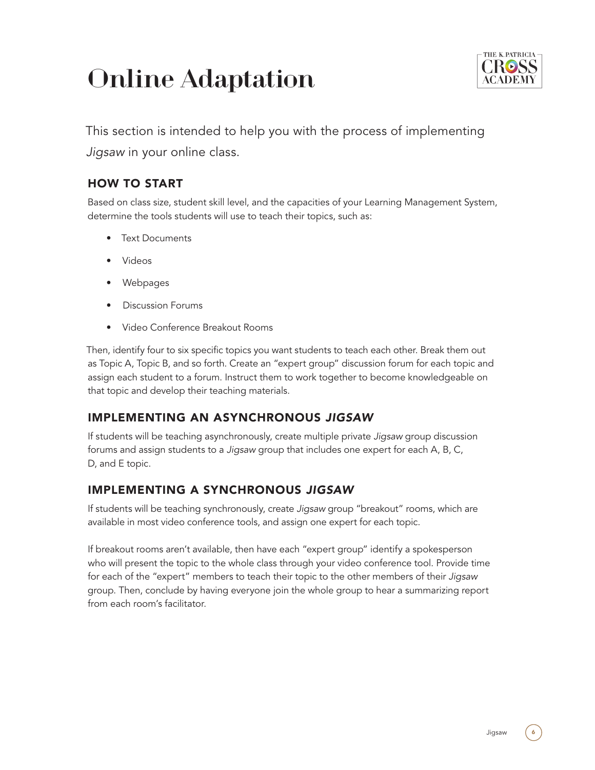# Online Adaptation



This section is intended to help you with the process of implementing

*Jigsaw* in your online class.

# HOW TO START

Based on class size, student skill level, and the capacities of your Learning Management System, determine the tools students will use to teach their topics, such as:

- Text Documents
- Videos
- Webpages
- Discussion Forums
- Video Conference Breakout Rooms

Then, identify four to six specific topics you want students to teach each other. Break them out as Topic A, Topic B, and so forth. Create an "expert group" discussion forum for each topic and assign each student to a forum. Instruct them to work together to become knowledgeable on that topic and develop their teaching materials.

# IMPLEMENTING AN ASYNCHRONOUS *JIGSAW*

If students will be teaching asynchronously, create multiple private *Jigsaw* group discussion forums and assign students to a *Jigsaw* group that includes one expert for each A, B, C, D, and E topic.

# IMPLEMENTING A SYNCHRONOUS *JIGSAW*

If students will be teaching synchronously, create *Jigsaw* group "breakout" rooms, which are available in most video conference tools, and assign one expert for each topic.

If breakout rooms aren't available, then have each "expert group" identify a spokesperson who will present the topic to the whole class through your video conference tool. Provide time for each of the "expert" members to teach their topic to the other members of their *Jigsaw* group. Then, conclude by having everyone join the whole group to hear a summarizing report from each room's facilitator.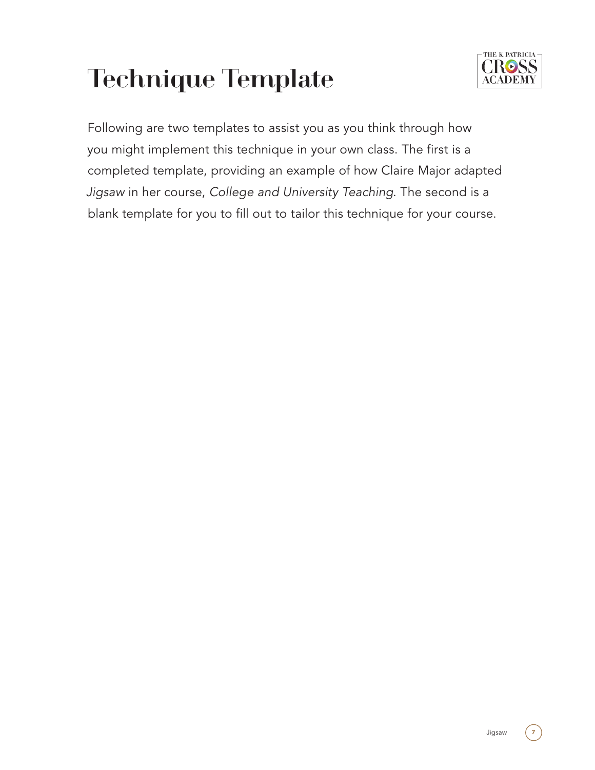# Technique Template



Following are two templates to assist you as you think through how you might implement this technique in your own class. The first is a completed template, providing an example of how Claire Major adapted *Jigsaw* in her course, *College and University Teaching*. The second is a blank template for you to fill out to tailor this technique for your course.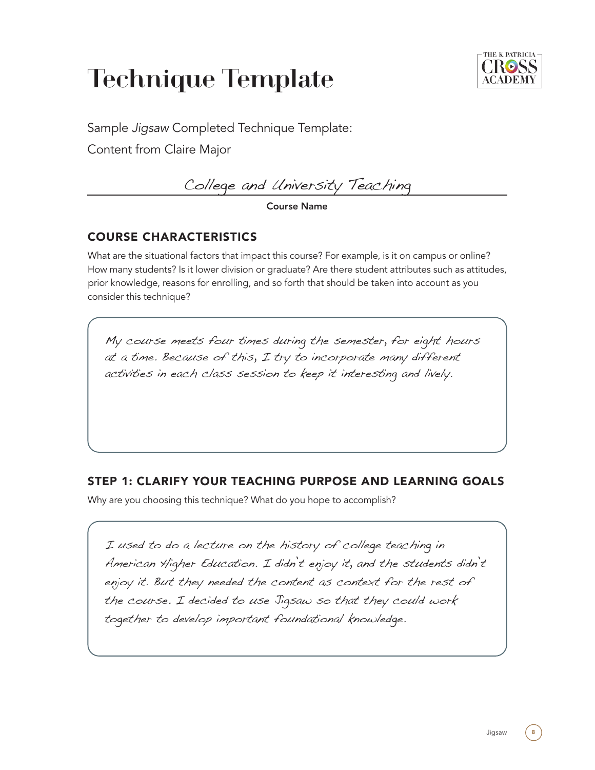# Technique Template



Sample *Jigsaw* Completed Technique Template:

Content from Claire Major

College and University Teaching

#### Course Name

# COURSE CHARACTERISTICS

What are the situational factors that impact this course? For example, is it on campus or online? How many students? Is it lower division or graduate? Are there student attributes such as attitudes, prior knowledge, reasons for enrolling, and so forth that should be taken into account as you consider this technique?

My course meets four times during the semester, for eight hours at a time. Because of this, I try to incorporate many different activities in each class session to keep it interesting and lively.

# STEP 1: CLARIFY YOUR TEACHING PURPOSE AND LEARNING GOALS

Why are you choosing this technique? What do you hope to accomplish?

I used to do a lecture on the history of college teaching in American Higher Education. I didn't enjoy it, and the students didn't enjoy it. But they needed the content as context for the rest of the course. I decided to use Jigsaw so that they could work together to develop important foundational knowledge.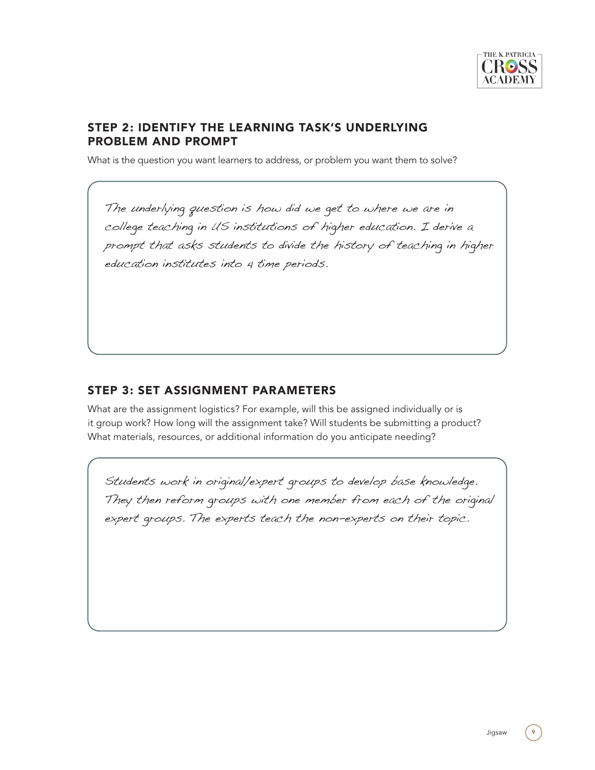

#### STEP 2: IDENTIFY THE LEARNING TASK'S UNDERLYING PROBLEM AND PROMPT

What is the question you want learners to address, or problem you want them to solve?

The underlying question is how did we get to where we are in college teaching in US institutions of higher education. I derive a prompt that asks students to divide the history of teaching in higher education institutes into 4 time periods.

#### STEP 3: SET ASSIGNMENT PARAMETERS

What are the assignment logistics? For example, will this be assigned individually or is it group work? How long will the assignment take? Will students be submitting a product? What materials, resources, or additional information do you anticipate needing?

Students work in original/expert groups to develop base knowledge. They then reform groups with one member from each of the original expert groups. The experts teach the non-experts on their topic.

Jigsaw 9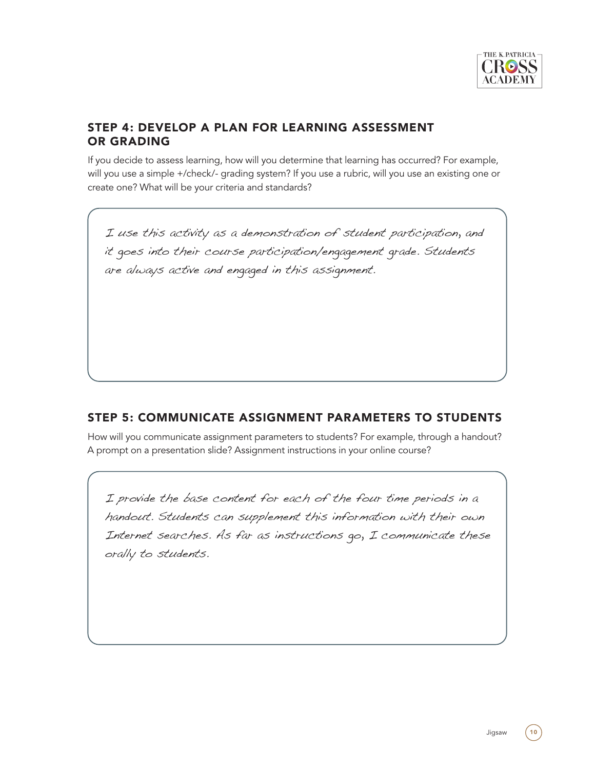

#### STEP 4: DEVELOP A PLAN FOR LEARNING ASSESSMENT OR GRADING

If you decide to assess learning, how will you determine that learning has occurred? For example, will you use a simple +/check/- grading system? If you use a rubric, will you use an existing one or create one? What will be your criteria and standards?

I use this activity as a demonstration of student participation, and it goes into their course participation/engagement grade. Students are always active and engaged in this assignment.

#### STEP 5: COMMUNICATE ASSIGNMENT PARAMETERS TO STUDENTS

How will you communicate assignment parameters to students? For example, through a handout? A prompt on a presentation slide? Assignment instructions in your online course?

I provide the base content for each of the four time periods in a handout. Students can supplement this information with their own Internet searches. As far as instructions go, I communicate these orally to students.

Jigsaw (10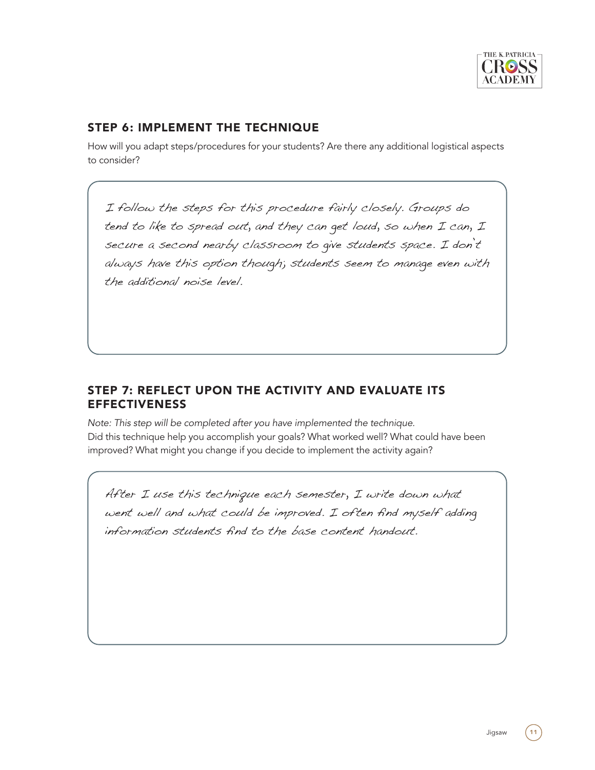

#### STEP 6: IMPLEMENT THE TECHNIQUE

How will you adapt steps/procedures for your students? Are there any additional logistical aspects to consider?

I follow the steps for this procedure fairly closely. Groups do tend to like to spread out, and they can get loud, so when I can, I secure a second nearby classroom to give students space. I don't always have this option though; students seem to manage even with the additional noise level.

#### STEP 7: REFLECT UPON THE ACTIVITY AND EVALUATE ITS EFFECTIVENESS

*Note: This step will be completed after you have implemented the technique.* Did this technique help you accomplish your goals? What worked well? What could have been improved? What might you change if you decide to implement the activity again?

After I use this technique each semester, I write down what went well and what could be improved. I often find myself adding information students find to the base content handout.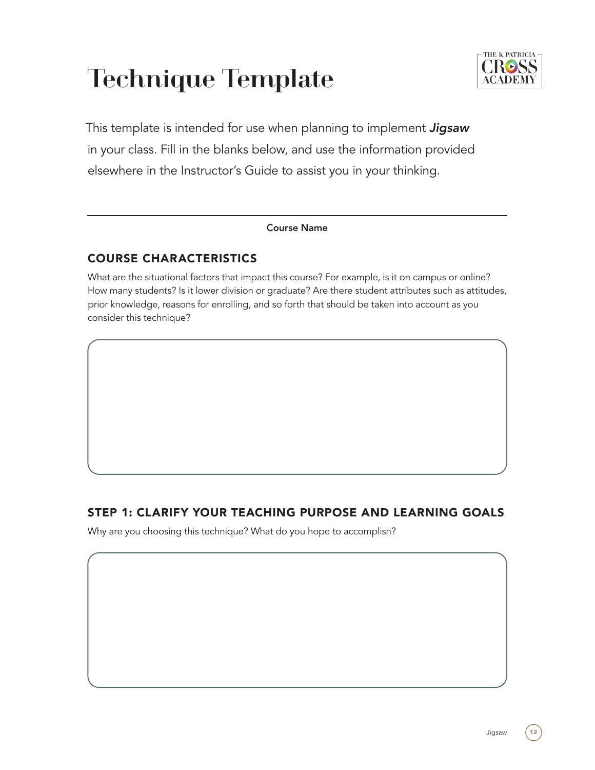# Technique Template



This template is intended for use when planning to implement *Jigsaw* in your class. Fill in the blanks below, and use the information provided elsewhere in the Instructor's Guide to assist you in your thinking.

#### Course Name

# COURSE CHARACTERISTICS

What are the situational factors that impact this course? For example, is it on campus or online? How many students? Is it lower division or graduate? Are there student attributes such as attitudes, prior knowledge, reasons for enrolling, and so forth that should be taken into account as you consider this technique?

# STEP 1: CLARIFY YOUR TEACHING PURPOSE AND LEARNING GOALS

Why are you choosing this technique? What do you hope to accomplish?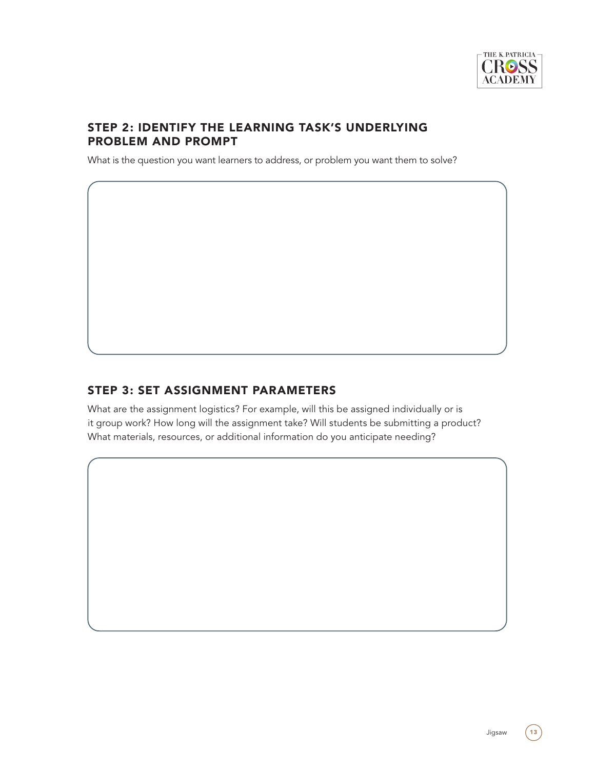

#### STEP 2: IDENTIFY THE LEARNING TASK'S UNDERLYING PROBLEM AND PROMPT

What is the question you want learners to address, or problem you want them to solve?

#### STEP 3: SET ASSIGNMENT PARAMETERS

What are the assignment logistics? For example, will this be assigned individually or is it group work? How long will the assignment take? Will students be submitting a product? What materials, resources, or additional information do you anticipate needing?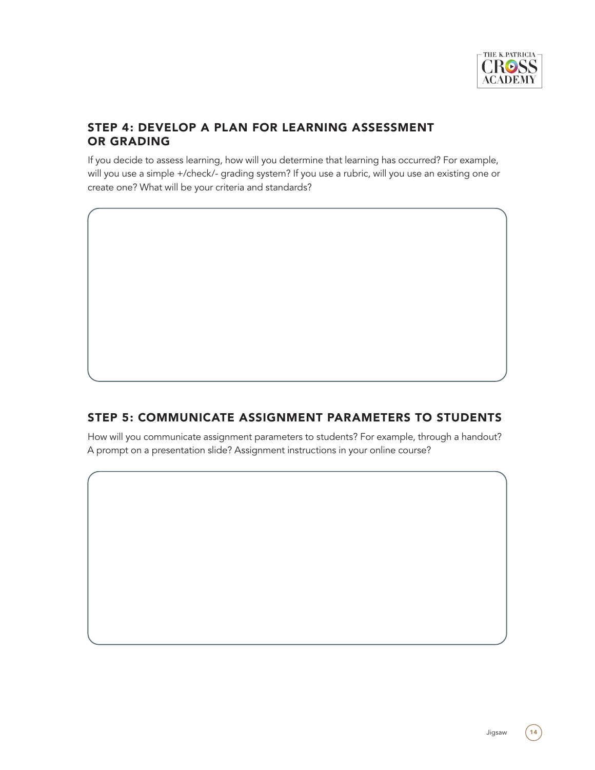

#### STEP 4: DEVELOP A PLAN FOR LEARNING ASSESSMENT OR GRADING

If you decide to assess learning, how will you determine that learning has occurred? For example, will you use a simple +/check/- grading system? If you use a rubric, will you use an existing one or create one? What will be your criteria and standards?

### STEP 5: COMMUNICATE ASSIGNMENT PARAMETERS TO STUDENTS

How will you communicate assignment parameters to students? For example, through a handout? A prompt on a presentation slide? Assignment instructions in your online course?

Jigsaw  $(14)$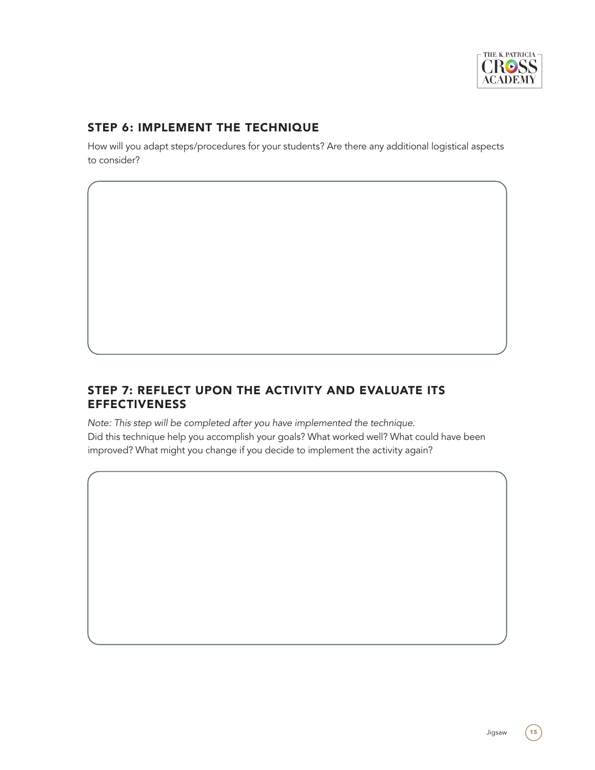

# STEP 6: IMPLEMENT THE TECHNIQUE

How will you adapt steps/procedures for your students? Are there any additional logistical aspects to consider?

#### STEP 7: REFLECT UPON THE ACTIVITY AND EVALUATE ITS EFFECTIVENESS

*Note: This step will be completed after you have implemented the technique.* Did this technique help you accomplish your goals? What worked well? What could have been improved? What might you change if you decide to implement the activity again?